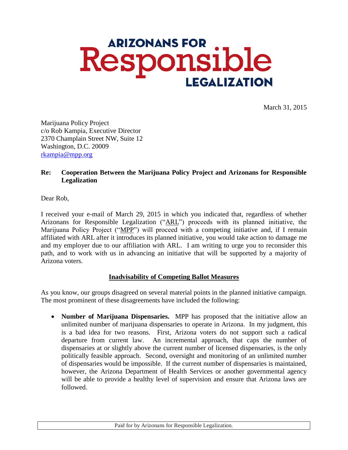# **ARIZONANS FOR** Responsible **LEGALIZATION**

March 31, 2015

Marijuana Policy Project c/o Rob Kampia, Executive Director 2370 Champlain Street NW, Suite 12 Washington, D.C. 20009 [rkampia@mpp.org](mailto:rkampia@mpp.org)

# **Re: Cooperation Between the Marijuana Policy Project and Arizonans for Responsible Legalization**

Dear Rob,

I received your e-mail of March 29, 2015 in which you indicated that, regardless of whether Arizonans for Responsible Legalization ("ARL") proceeds with its planned initiative, the Marijuana Policy Project ("MPP") will proceed with a competing initiative and, if I remain affiliated with ARL after it introduces its planned initiative, you would take action to damage me and my employer due to our affiliation with ARL. I am writing to urge you to reconsider this path, and to work with us in advancing an initiative that will be supported by a majority of Arizona voters.

### **Inadvisability of Competing Ballot Measures**

As you know, our groups disagreed on several material points in the planned initiative campaign. The most prominent of these disagreements have included the following:

 **Number of Marijuana Dispensaries.** MPP has proposed that the initiative allow an unlimited number of marijuana dispensaries to operate in Arizona. In my judgment, this is a bad idea for two reasons. First, Arizona voters do not support such a radical departure from current law. An incremental approach, that caps the number of dispensaries at or slightly above the current number of licensed dispensaries, is the only politically feasible approach. Second, oversight and monitoring of an unlimited number of dispensaries would be impossible. If the current number of dispensaries is maintained, however, the Arizona Department of Health Services or another governmental agency will be able to provide a healthy level of supervision and ensure that Arizona laws are followed.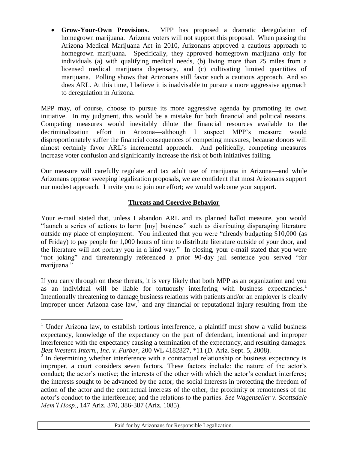**Grow-Your-Own Provisions.** MPP has proposed a dramatic deregulation of homegrown marijuana. Arizona voters will not support this proposal. When passing the Arizona Medical Marijuana Act in 2010, Arizonans approved a cautious approach to homegrown marijuana. Specifically, they approved homegrown marijuana only for individuals (a) with qualifying medical needs, (b) living more than 25 miles from a licensed medical marijuana dispensary, and (c) cultivating limited quantities of marijuana. Polling shows that Arizonans still favor such a cautious approach. And so does ARL. At this time, I believe it is inadvisable to pursue a more aggressive approach to deregulation in Arizona.

MPP may, of course, choose to pursue its more aggressive agenda by promoting its own initiative. In my judgment, this would be a mistake for both financial and political reasons. Competing measures would inevitably dilute the financial resources available to the decriminalization effort in Arizona—although I suspect MPP's measure would disproportionately suffer the financial consequences of competing measures, because donors will almost certainly favor ARL's incremental approach. And politically, competing measures increase voter confusion and significantly increase the risk of both initiatives failing.

Our measure will carefully regulate and tax adult use of marijuana in Arizona—and while Arizonans oppose sweeping legalization proposals, we are confident that most Arizonans support our modest approach. I invite you to join our effort; we would welcome your support.

# **Threats and Coercive Behavior**

Your e-mail stated that, unless I abandon ARL and its planned ballot measure, you would "launch a series of actions to harm [my] business" such as distributing disparaging literature outside my place of employment. You indicated that you were "already budgeting \$10,000 (as of Friday) to pay people for 1,000 hours of time to distribute literature outside of your door, and the literature will not portray you in a kind way." In closing, your e-mail stated that you were "not joking" and threateningly referenced a prior 90-day jail sentence you served "for marijuana."

If you carry through on these threats, it is very likely that both MPP as an organization and you as an individual will be liable for tortuously interfering with business expectancies.<sup>1</sup> Intentionally threatening to damage business relations with patients and/or an employer is clearly improper under Arizona case  $law$ , and any financial or reputational injury resulting from the

 $\overline{a}$ 

<sup>&</sup>lt;sup>1</sup> Under Arizona law, to establish tortious interference, a plaintiff must show a valid business expectancy, knowledge of the expectancy on the part of defendant, intentional and improper interference with the expectancy causing a termination of the expectancy, and resulting damages. *Best Western Intern., Inc. v. Furber*, 200 WL 4182827, \*11 (D. Ariz. Sept. 5, 2008).

 $2 \text{ In determining whether interference with a contractual relationship or business expectancy is }$ improper, a court considers seven factors. These factors include: the nature of the actor's conduct; the actor's motive; the interests of the other with which the actor's conduct interferes; the interests sought to be advanced by the actor; the social interests in protecting the freedom of action of the actor and the contractual interests of the other; the proximity or remoteness of the actor's conduct to the interference; and the relations to the parties. *See Wagenseller v. Scottsdale Mem'l Hosp.*, 147 Ariz. 370, 386-387 (Ariz. 1085).